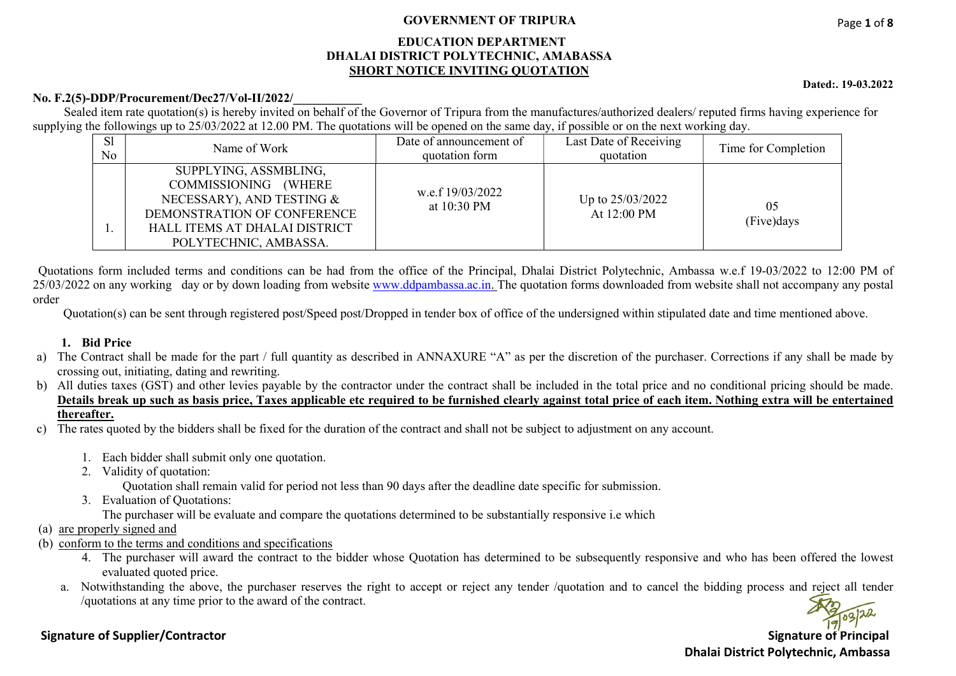#### GOVERNMENT OF TRIPURA

#### EDUCATION DEPARTMENT DHALAI DISTRICT POLYTECHNIC, AMABASSA SHORT NOTICE INVITING QUOTATION

No. F.2(5)-DDP/Procurement/Dec27/Vol-II/2022/

Sealed item rate quotation(s) is hereby invited on behalf of the Governor of Tripura from the manufactures/authorized dealers/ reputed firms having experience for supplying the followings up to  $25/03/2022$  at 12.00 PM. The quotations will be opened on the same day, if possible or on the next working day.

| S <sub>1</sub><br>No | Name of Work                                                                                                                                                        | Date of announcement of<br>quotation form | Last Date of Receiving<br>quotation | Time for Completion |
|----------------------|---------------------------------------------------------------------------------------------------------------------------------------------------------------------|-------------------------------------------|-------------------------------------|---------------------|
|                      | SUPPLYING, ASSMBLING,<br>COMMISSIONING (WHERE<br>NECESSARY), AND TESTING &<br>DEMONSTRATION OF CONFERENCE<br>HALL ITEMS AT DHALAI DISTRICT<br>POLYTECHNIC, AMBASSA. | w.e.f 19/03/2022<br>at $10:30 \text{ PM}$ | Up to 25/03/2022<br>At 12:00 PM     | 05<br>(Five) days   |

 Quotations form included terms and conditions can be had from the office of the Principal, Dhalai District Polytechnic, Ambassa w.e.f 19-03/2022 to 12:00 PM of 25/03/2022 on any working day or by down loading from website www.ddpambassa.ac.in. The quotation forms downloaded from website shall not accompany any postal order

Quotation(s) can be sent through registered post/Speed post/Dropped in tender box of office of the undersigned within stipulated date and time mentioned above.

#### 1. Bid Price

- a) The Contract shall be made for the part / full quantity as described in ANNAXURE "A" as per the discretion of the purchaser. Corrections if any shall be made by crossing out, initiating, dating and rewriting.
- b) All duties taxes (GST) and other levies payable by the contractor under the contract shall be included in the total price and no conditional pricing should be made. Details break up such as basis price, Taxes applicable etc required to be furnished clearly against total price of each item. Nothing extra will be entertained thereafter.
- c) The rates quoted by the bidders shall be fixed for the duration of the contract and shall not be subject to adjustment on any account.
	- 1. Each bidder shall submit only one quotation.
	- 2. Validity of quotation:
		- Quotation shall remain valid for period not less than 90 days after the deadline date specific for submission.
	- 3. Evaluation of Quotations:
		- The purchaser will be evaluate and compare the quotations determined to be substantially responsive i.e which
- (a) are properly signed and
- (b) conform to the terms and conditions and specifications
	- 4. The purchaser will award the contract to the bidder whose Quotation has determined to be subsequently responsive and who has been offered the lowest evaluated quoted price.
	- a. Notwithstanding the above, the purchaser reserves the right to accept or reject any tender /quotation and to cancel the bidding process and reject all tender /quotations at any time prior to the award of the contract.

Signature of Supplier/Contractor Signature of Principal Dhalai District Polytechnic, Ambassa

Dated:. 19-03.2022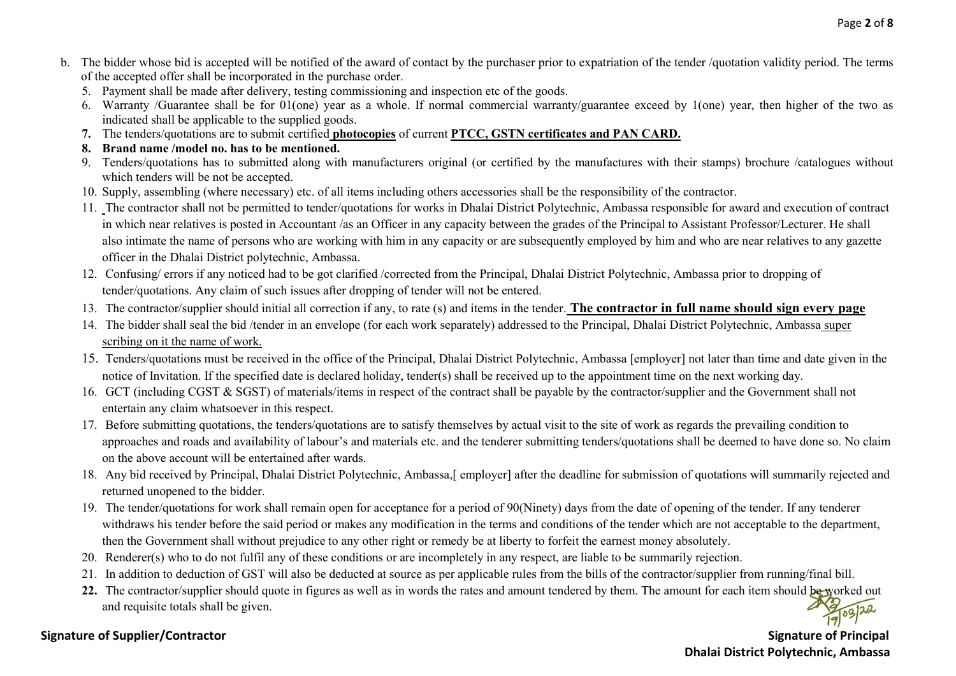- b. The bidder whose bid is accepted will be notified of the award of contact by the purchaser prior to expatriation of the tender /quotation validity period. The terms of the accepted offer shall be incorporated in the purchase order.
	- 5. Payment shall be made after delivery, testing commissioning and inspection etc of the goods.
	- 6. Warranty /Guarantee shall be for 01(one) year as a whole. If normal commercial warranty/guarantee exceed by 1(one) year, then higher of the two as indicated shall be applicable to the supplied goods.
	- 7. The tenders/quotations are to submit certified photocopies of current PTCC, GSTN certificates and PAN CARD.
	- 8. Brand name /model no. has to be mentioned.
	- 9. Tenders/quotations has to submitted along with manufacturers original (or certified by the manufactures with their stamps) brochure /catalogues without which tenders will be not be accepted.
	- 10. Supply, assembling (where necessary) etc. of all items including others accessories shall be the responsibility of the contractor.
	- 11. The contractor shall not be permitted to tender/quotations for works in Dhalai District Polytechnic, Ambassa responsible for award and execution of contract in which near relatives is posted in Accountant /as an Officer in any capacity between the grades of the Principal to Assistant Professor/Lecturer. He shall also intimate the name of persons who are working with him in any capacity or are subsequently employed by him and who are near relatives to any gazette officer in the Dhalai District polytechnic, Ambassa.
	- 12. Confusing/ errors if any noticed had to be got clarified /corrected from the Principal, Dhalai District Polytechnic, Ambassa prior to dropping of tender/quotations. Any claim of such issues after dropping of tender will not be entered.
	- 13. The contractor/supplier should initial all correction if any, to rate (s) and items in the tender. The contractor in full name should sign every page
	- 14. The bidder shall seal the bid /tender in an envelope (for each work separately) addressed to the Principal, Dhalai District Polytechnic, Ambassa super scribing on it the name of work.
	- 15. Tenders/quotations must be received in the office of the Principal, Dhalai District Polytechnic, Ambassa [employer] not later than time and date given in the notice of Invitation. If the specified date is declared holiday, tender(s) shall be received up to the appointment time on the next working day.
	- 16. GCT (including CGST & SGST) of materials/items in respect of the contract shall be payable by the contractor/supplier and the Government shall not entertain any claim whatsoever in this respect.
	- 17. Before submitting quotations, the tenders/quotations are to satisfy themselves by actual visit to the site of work as regards the prevailing condition to approaches and roads and availability of labour's and materials etc. and the tenderer submitting tenders/quotations shall be deemed to have done so. No claim on the above account will be entertained after wards.
	- 18. Any bid received by Principal, Dhalai District Polytechnic, Ambassa,[ employer] after the deadline for submission of quotations will summarily rejected and returned unopened to the bidder.
	- 19. The tender/quotations for work shall remain open for acceptance for a period of 90(Ninety) days from the date of opening of the tender. If any tenderer withdraws his tender before the said period or makes any modification in the terms and conditions of the tender which are not acceptable to the department, then the Government shall without prejudice to any other right or remedy be at liberty to forfeit the earnest money absolutely.
	- 20. Renderer(s) who to do not fulfil any of these conditions or are incompletely in any respect, are liable to be summarily rejection.
	- 21. In addition to deduction of GST will also be deducted at source as per applicable rules from the bills of the contractor/supplier from running/final bill.
	- 22. The contractor/supplier should quote in figures as well as in words the rates and amount tendered by them. The amount for each item should be worked out and requisite totals shall be given.

### Signature of Supplier/Contractor Supplier of Principal Supplier of Principal Signature of Principal Signature of Principal Signature of Principal Signature of Principal Signature of Principal Signature of Principal Signatu

Dhalai District Polytechnic, Ambassa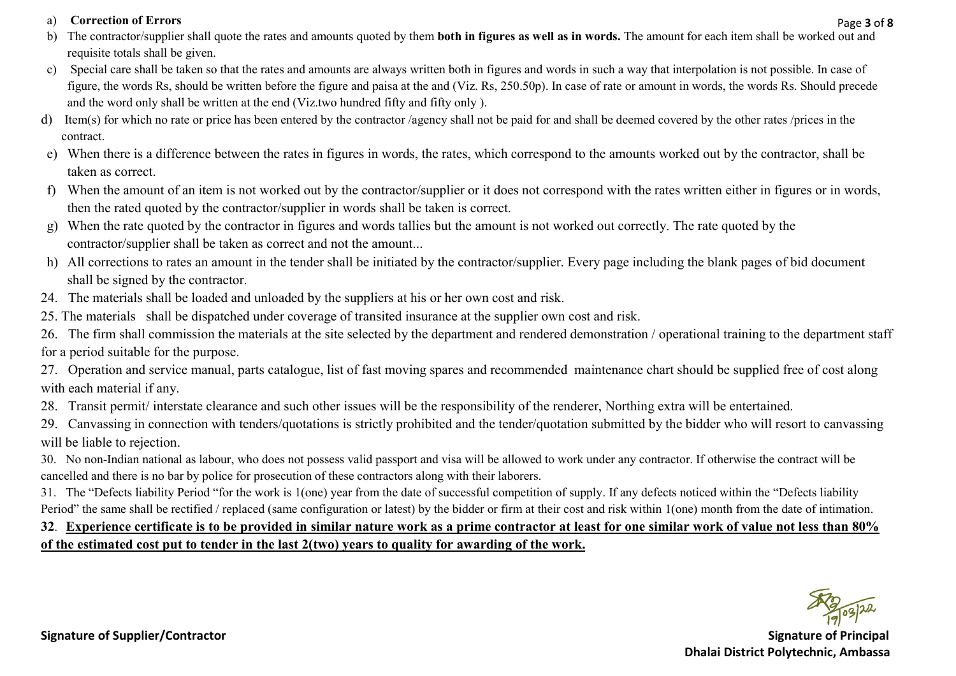### a) Correction of Errors

- b) The contractor/supplier shall quote the rates and amounts quoted by them **both in figures as well as in words.** The amount for each item shall be worked out and requisite totals shall be given.
- c) Special care shall be taken so that the rates and amounts are always written both in figures and words in such a way that interpolation is not possible. In case of figure, the words Rs, should be written before the figure and paisa at the and (Viz. Rs, 250.50p). In case of rate or amount in words, the words Rs. Should precede and the word only shall be written at the end (Viz.two hundred fifty and fifty only ).
- d) Item(s) for which no rate or price has been entered by the contractor /agency shall not be paid for and shall be deemed covered by the other rates /prices in the contract.
- e) When there is a difference between the rates in figures in words, the rates, which correspond to the amounts worked out by the contractor, shall be taken as correct.
- f) When the amount of an item is not worked out by the contractor/supplier or it does not correspond with the rates written either in figures or in words, then the rated quoted by the contractor/supplier in words shall be taken is correct.
- g) When the rate quoted by the contractor in figures and words tallies but the amount is not worked out correctly. The rate quoted by the contractor/supplier shall be taken as correct and not the amount...
- h) All corrections to rates an amount in the tender shall be initiated by the contractor/supplier. Every page including the blank pages of bid document shall be signed by the contractor.
- 24. The materials shall be loaded and unloaded by the suppliers at his or her own cost and risk.
- 25. The materials shall be dispatched under coverage of transited insurance at the supplier own cost and risk.

26. The firm shall commission the materials at the site selected by the department and rendered demonstration / operational training to the department staff for a period suitable for the purpose.

27. Operation and service manual, parts catalogue, list of fast moving spares and recommended maintenance chart should be supplied free of cost along with each material if any.

- 28. Transit permit/ interstate clearance and such other issues will be the responsibility of the renderer, Northing extra will be entertained.
- 29. Canvassing in connection with tenders/quotations is strictly prohibited and the tender/quotation submitted by the bidder who will resort to canvassing will be liable to rejection.

30. No non-Indian national as labour, who does not possess valid passport and visa will be allowed to work under any contractor. If otherwise the contract will be cancelled and there is no bar by police for prosecution of these contractors along with their laborers.

31. The "Defects liability Period "for the work is 1(one) year from the date of successful competition of supply. If any defects noticed within the "Defects liability Period" the same shall be rectified / replaced (same configuration or latest) by the bidder or firm at their cost and risk within 1(one) month from the date of intimation.

# 32. Experience certificate is to be provided in similar nature work as a prime contractor at least for one similar work of value not less than 80% of the estimated cost put to tender in the last 2(two) years to quality for awarding of the work.

Page 3 of 8

Signature of Supplier/Contractor Supplier of Principal Supplier of Principal Supplier of Principal Signature of Principal Signature of Principal Signature of Principal Signature of Principal Signature of Principal Signatur Dhalai District Polytechnic, Ambassa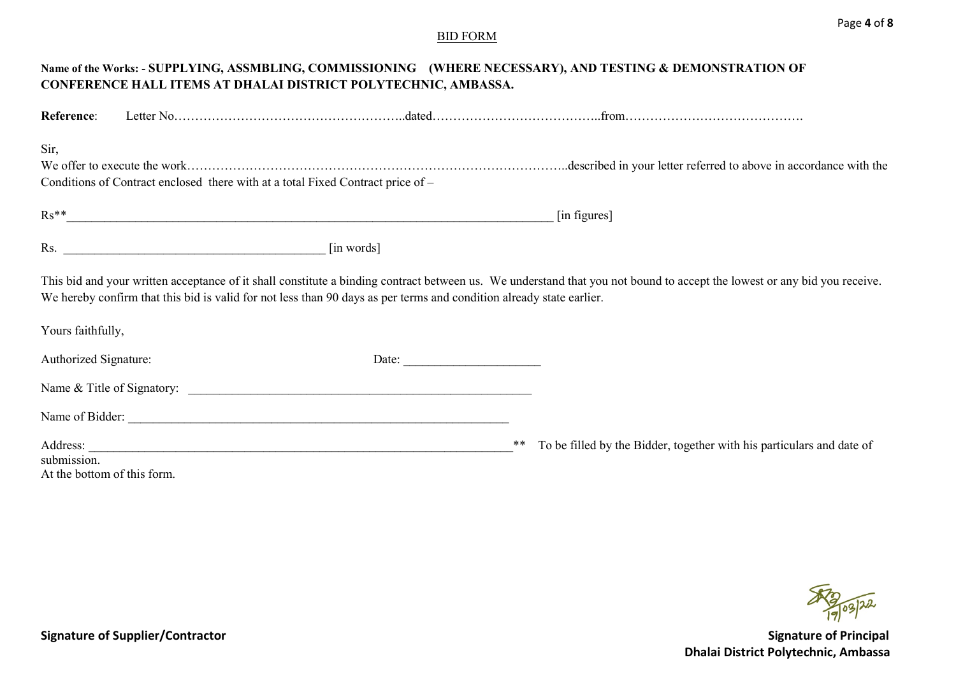#### BID FORM

|                             | CONFERENCE HALL ITEMS AT DHALAI DISTRICT POLYTECHNIC, AMBASSA.                                                       |            |    | Name of the Works: - SUPPLYING, ASSMBLING, COMMISSIONING (WHERE NECESSARY), AND TESTING & DEMONSTRATION OF                                                               |
|-----------------------------|----------------------------------------------------------------------------------------------------------------------|------------|----|--------------------------------------------------------------------------------------------------------------------------------------------------------------------------|
| Reference:                  |                                                                                                                      |            |    |                                                                                                                                                                          |
| Sir,                        |                                                                                                                      |            |    |                                                                                                                                                                          |
|                             |                                                                                                                      |            |    |                                                                                                                                                                          |
|                             | Conditions of Contract enclosed there with at a total Fixed Contract price of -                                      |            |    |                                                                                                                                                                          |
|                             | $\mathbf{Rs}^{**}$                                                                                                   |            |    | [in figures]                                                                                                                                                             |
|                             | $\mathsf{Rs.}$                                                                                                       | [in words] |    |                                                                                                                                                                          |
|                             | We hereby confirm that this bid is valid for not less than 90 days as per terms and condition already state earlier. |            |    | This bid and your written acceptance of it shall constitute a binding contract between us. We understand that you not bound to accept the lowest or any bid you receive. |
| Yours faithfully,           |                                                                                                                      |            |    |                                                                                                                                                                          |
| Authorized Signature:       |                                                                                                                      | Date:      |    |                                                                                                                                                                          |
|                             |                                                                                                                      |            |    |                                                                                                                                                                          |
|                             | Name of Bidder:                                                                                                      |            |    |                                                                                                                                                                          |
|                             |                                                                                                                      |            | ** | To be filled by the Bidder, together with his particulars and date of                                                                                                    |
| submission.                 |                                                                                                                      |            |    |                                                                                                                                                                          |
| At the bottom of this form. |                                                                                                                      |            |    |                                                                                                                                                                          |

209/22

Signature of Supplier/Contractor and Signature of Principal Dhalai District Polytechnic, Ambassa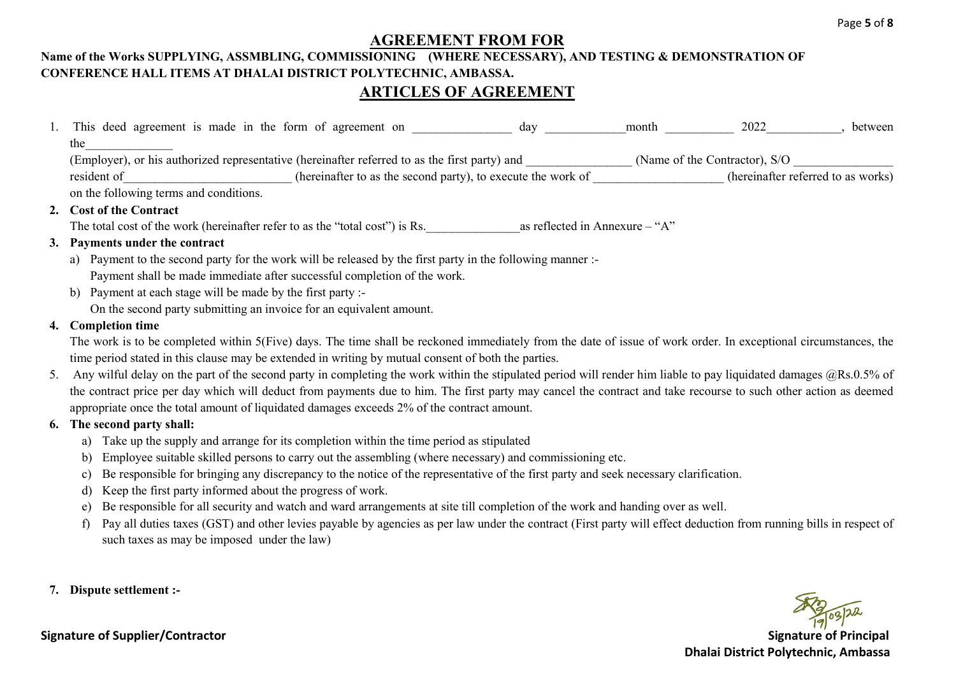## AGREEMENT FROM FOR

## Name of the Works SUPPLYING, ASSMBLING, COMMISSIONING (WHERE NECESSARY), AND TESTING & DEMONSTRATION OF CONFERENCE HALL ITEMS AT DHALAI DISTRICT POLYTECHNIC, AMBASSA. ARTICLES OF AGREEMENT

| 1. This deed agreement is made in the form of agreement on<br>2022<br>between<br>month<br>day                                  |
|--------------------------------------------------------------------------------------------------------------------------------|
| the                                                                                                                            |
| (Employer), or his authorized representative (hereinafter referred to as the first party) and<br>(Name of the Contractor), S/O |
| (hereinafter referred to as works)<br>resident of<br>(hereinafter to as the second party), to execute the work of              |
| on the following terms and conditions.                                                                                         |
| 2. Cost of the Contract                                                                                                        |
| The total cost of the work (hereinafter refer to as the "total cost") is Rs.<br>as reflected in Annexure $-$ "A"               |
| 3. Payments under the contract                                                                                                 |
| Payment to the second party for the work will be released by the first party in the following manner :-<br>a)                  |
| Payment shall be made immediate after successful completion of the work.                                                       |

b) Payment at each stage will be made by the first party :- On the second party submitting an invoice for an equivalent amount.

#### 4. Completion time

The work is to be completed within 5(Five) days. The time shall be reckoned immediately from the date of issue of work order. In exceptional circumstances, the time period stated in this clause may be extended in writing by mutual consent of both the parties.

5. Any wilful delay on the part of the second party in completing the work within the stipulated period will render him liable to pay liquidated damages @Rs.0.5% of the contract price per day which will deduct from payments due to him. The first party may cancel the contract and take recourse to such other action as deemed appropriate once the total amount of liquidated damages exceeds 2% of the contract amount.

## 6. The second party shall:

- a) Take up the supply and arrange for its completion within the time period as stipulated
- b) Employee suitable skilled persons to carry out the assembling (where necessary) and commissioning etc.
- c) Be responsible for bringing any discrepancy to the notice of the representative of the first party and seek necessary clarification.
- d) Keep the first party informed about the progress of work.
- e) Be responsible for all security and watch and ward arrangements at site till completion of the work and handing over as well.
- f) Pay all duties taxes (GST) and other levies payable by agencies as per law under the contract (First party will effect deduction from running bills in respect of such taxes as may be imposed under the law)
- 7. Dispute settlement :-

Signature of Supplier/Contractor Signature of Principal Dhalai District Polytechnic, Ambassa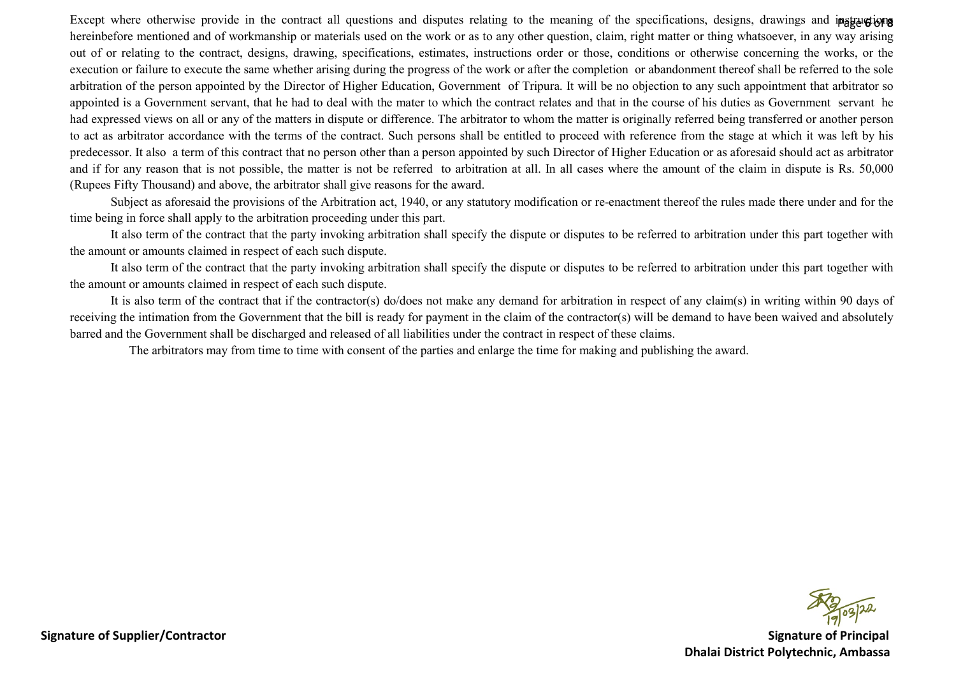Except where otherwise provide in the contract all questions and disputes relating to the meaning of the specifications, designs, drawings and instructions hereinbefore mentioned and of workmanship or materials used on the work or as to any other question, claim, right matter or thing whatsoever, in any way arising out of or relating to the contract, designs, drawing, specifications, estimates, instructions order or those, conditions or otherwise concerning the works, or the execution or failure to execute the same whether arising during the progress of the work or after the completion or abandonment thereof shall be referred to the sole arbitration of the person appointed by the Director of Higher Education, Government of Tripura. It will be no objection to any such appointment that arbitrator so appointed is a Government servant, that he had to deal with the mater to which the contract relates and that in the course of his duties as Government servant he had expressed views on all or any of the matters in dispute or difference. The arbitrator to whom the matter is originally referred being transferred or another person to act as arbitrator accordance with the terms of the contract. Such persons shall be entitled to proceed with reference from the stage at which it was left by his predecessor. It also a term of this contract that no person other than a person appointed by such Director of Higher Education or as aforesaid should act as arbitrator and if for any reason that is not possible, the matter is not be referred to arbitration at all. In all cases where the amount of the claim in dispute is Rs. 50,000 (Rupees Fifty Thousand) and above, the arbitrator shall give reasons for the award.

 Subject as aforesaid the provisions of the Arbitration act, 1940, or any statutory modification or re-enactment thereof the rules made there under and for the time being in force shall apply to the arbitration proceeding under this part.

 It also term of the contract that the party invoking arbitration shall specify the dispute or disputes to be referred to arbitration under this part together with the amount or amounts claimed in respect of each such dispute.

 It also term of the contract that the party invoking arbitration shall specify the dispute or disputes to be referred to arbitration under this part together with the amount or amounts claimed in respect of each such dispute.

It is also term of the contract that if the contractor(s) do/does not make any demand for arbitration in respect of any claim(s) in writing within 90 days of receiving the intimation from the Government that the bill is ready for payment in the claim of the contractor(s) will be demand to have been waived and absolutely barred and the Government shall be discharged and released of all liabilities under the contract in respect of these claims.

The arbitrators may from time to time with consent of the parties and enlarge the time for making and publishing the award.

Signature of Supplier/Contractor Signature of Principal Dhalai District Polytechnic, Ambassa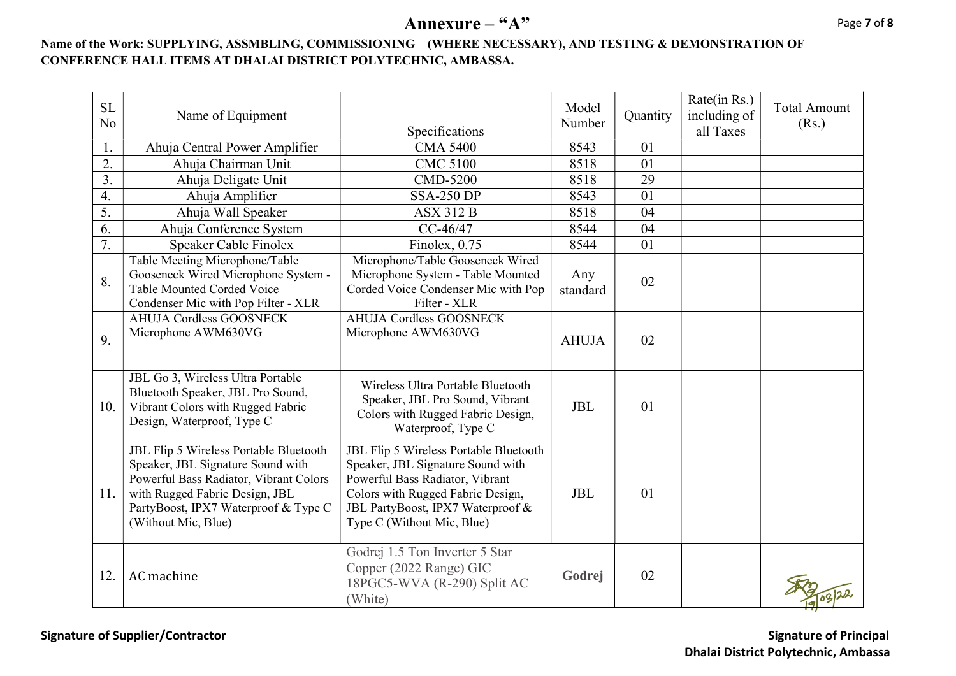# Annexure – "A"

## Name of the Work: SUPPLYING, ASSMBLING, COMMISSIONING (WHERE NECESSARY), AND TESTING & DEMONSTRATION OF CONFERENCE HALL ITEMS AT DHALAI DISTRICT POLYTECHNIC, AMBASSA.

| <b>SL</b><br>N <sub>o</sub> | Name of Equipment                                                                                                                                                                                                      | Specifications                                                                                                                                                                                                         | Model<br>Number | Quantity | Rate(in Rs.)<br>including of<br>all Taxes | <b>Total Amount</b><br>(Rs.) |
|-----------------------------|------------------------------------------------------------------------------------------------------------------------------------------------------------------------------------------------------------------------|------------------------------------------------------------------------------------------------------------------------------------------------------------------------------------------------------------------------|-----------------|----------|-------------------------------------------|------------------------------|
| 1.                          | Ahuja Central Power Amplifier                                                                                                                                                                                          | <b>CMA 5400</b>                                                                                                                                                                                                        | 8543            | 01       |                                           |                              |
| 2.                          | Ahuja Chairman Unit                                                                                                                                                                                                    | <b>CMC 5100</b>                                                                                                                                                                                                        | 8518            | 01       |                                           |                              |
| $\overline{3}$ .            | Ahuja Deligate Unit                                                                                                                                                                                                    | CMD-5200                                                                                                                                                                                                               | 8518            | 29       |                                           |                              |
| 4.                          | Ahuja Amplifier                                                                                                                                                                                                        | <b>SSA-250 DP</b>                                                                                                                                                                                                      | 8543            | 01       |                                           |                              |
| 5.                          | Ahuja Wall Speaker                                                                                                                                                                                                     | <b>ASX 312 B</b>                                                                                                                                                                                                       | 8518            | 04       |                                           |                              |
| 6.                          | Ahuja Conference System                                                                                                                                                                                                | $CC-46/47$                                                                                                                                                                                                             | 8544            | 04       |                                           |                              |
| 7.                          | Speaker Cable Finolex                                                                                                                                                                                                  | Finolex, 0.75                                                                                                                                                                                                          | 8544            | 01       |                                           |                              |
| 8.                          | Table Meeting Microphone/Table<br>Gooseneck Wired Microphone System -<br>Table Mounted Corded Voice<br>Condenser Mic with Pop Filter - XLR                                                                             | Microphone/Table Gooseneck Wired<br>Microphone System - Table Mounted<br>Corded Voice Condenser Mic with Pop<br>Filter - XLR                                                                                           | Any<br>standard | 02       |                                           |                              |
| 9.                          | <b>AHUJA Cordless GOOSNECK</b><br>Microphone AWM630VG                                                                                                                                                                  | <b>AHUJA Cordless GOOSNECK</b><br>Microphone AWM630VG                                                                                                                                                                  | <b>AHUJA</b>    | 02       |                                           |                              |
| 10.                         | JBL Go 3, Wireless Ultra Portable<br>Bluetooth Speaker, JBL Pro Sound,<br>Vibrant Colors with Rugged Fabric<br>Design, Waterproof, Type C                                                                              | Wireless Ultra Portable Bluetooth<br>Speaker, JBL Pro Sound, Vibrant<br>Colors with Rugged Fabric Design,<br>Waterproof, Type C                                                                                        | <b>JBL</b>      | 01       |                                           |                              |
| 11.                         | JBL Flip 5 Wireless Portable Bluetooth<br>Speaker, JBL Signature Sound with<br>Powerful Bass Radiator, Vibrant Colors<br>with Rugged Fabric Design, JBL<br>PartyBoost, IPX7 Waterproof & Type C<br>(Without Mic, Blue) | JBL Flip 5 Wireless Portable Bluetooth<br>Speaker, JBL Signature Sound with<br>Powerful Bass Radiator, Vibrant<br>Colors with Rugged Fabric Design,<br>JBL PartyBoost, IPX7 Waterproof &<br>Type C (Without Mic, Blue) | <b>JBL</b>      | 01       |                                           |                              |
| 12.                         | AC machine                                                                                                                                                                                                             | Godrej 1.5 Ton Inverter 5 Star<br>Copper (2022 Range) GIC<br>18PGC5-WVA (R-290) Split AC<br>(White)                                                                                                                    | Godrej          | 02       |                                           |                              |

Signature of Supplier/Contractor and Signature of Principal Dhalai District Polytechnic, Ambassa